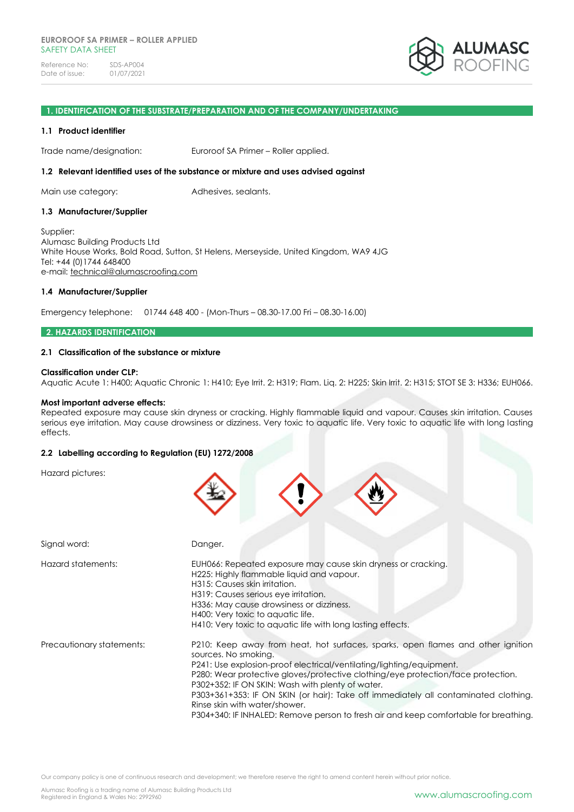Reference No: SDS-AP004<br>Date of issue: 01/07/2021 Date of issue:



### **1. IDENTIFICATION OF THE SUBSTRATE/PREPARATION AND OF THE COMPANY/UNDERTAKING**

### **1.1 Product identifier**

Trade name/designation: Euroroof SA Primer – Roller applied.

### **1.2 Relevant identified uses of the substance or mixture and uses advised against**

Main use category: Adhesives, sealants.

### **1.3 Manufacturer/Supplier**

Supplier: Alumasc Building Products Ltd White House Works, Bold Road, Sutton, St Helens, Merseyside, United Kingdom, WA9 4JG Tel: +44 (0)1744 648400 e-mail: [technical@alumascroofing.com](mailto:technical@alumascroofing.com)

### **1.4 Manufacturer/Supplier**

Emergency telephone: 01744 648 400 - (Mon-Thurs – 08.30-17.00 Fri – 08.30-16.00)

## **2. HAZARDS IDENTIFICATION**

### **2.1 Classification of the substance or mixture**

### **Classification under CLP:**

Aquatic Acute 1: H400; Aquatic Chronic 1: H410; Eye Irrit. 2: H319; Flam. Liq. 2: H225; Skin Irrit. 2: H315; STOT SE 3: H336; EUH066.

#### **Most important adverse effects:**

Repeated exposure may cause skin dryness or cracking. Highly flammable liquid and vapour. Causes skin irritation. Causes serious eye irritation. May cause drowsiness or dizziness. Very toxic to aquatic life. Very toxic to aquatic life with long lasting effects.

# **2.2 Labelling according to Regulation (EU) 1272/2008**

Hazard pictures:

| Signal word:              | Danger.                                                                                                                                                                                                                                                                                                                                                                                                                                                                                                                                 |
|---------------------------|-----------------------------------------------------------------------------------------------------------------------------------------------------------------------------------------------------------------------------------------------------------------------------------------------------------------------------------------------------------------------------------------------------------------------------------------------------------------------------------------------------------------------------------------|
| Hazard statements:        | EUH066: Repeated exposure may cause skin dryness or cracking.<br>H225: Highly flammable liquid and vapour.<br>H315: Causes skin irritation.<br>H319: Causes serious eye irritation.<br>H336: May cause drowsiness or dizziness.<br>H400: Very toxic to aquatic life.<br>H410: Very toxic to aquatic life with long lasting effects.                                                                                                                                                                                                     |
| Precautionary statements: | P210: Keep away from heat, hot surfaces, sparks, open flames and other ignition<br>sources. No smoking.<br>P241: Use explosion-proof electrical/ventilating/lighting/equipment.<br>P280: Wear protective gloves/protective clothing/eye protection/face protection.<br>P302+352: IF ON SKIN: Wash with plenty of water.<br>P303+361+353: IF ON SKIN (or hair): Take off immediately all contaminated clothing.<br>Rinse skin with water/shower.<br>P304+340: IF INHALED: Remove person to fresh air and keep comfortable for breathing. |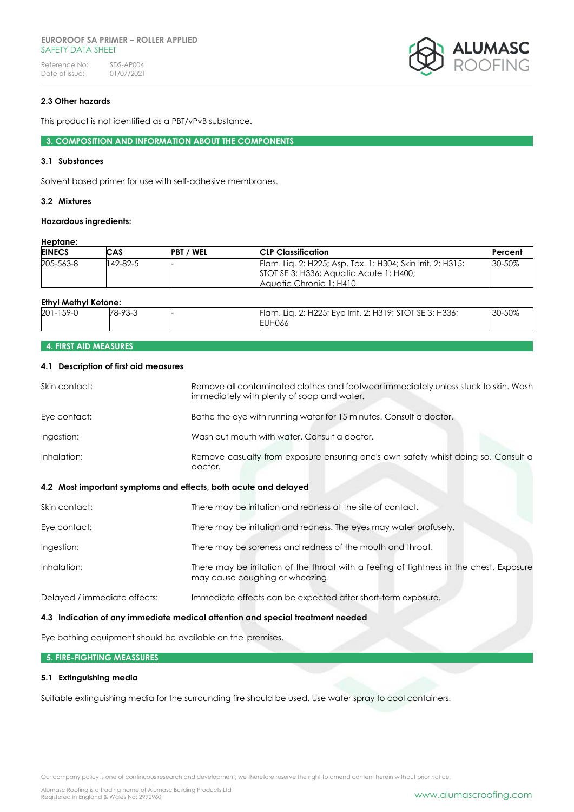### **EUROROOF SA PRIMER – ROLLER APPLIED** SAFFTY DATA SHFFT

Reference No: SDS-AP004<br>Date of issue: 01/07/2021 Date of issue:



# **2.3 Other hazards**

This product is not identified as a PBT/vPvB substance.

**3. COMPOSITION AND INFORMATION ABOUT THE COMPONENTS**

# **3.1 Substances**

Solvent based primer for use with self-adhesive membranes.

# **3.2 Mixtures**

### **Hazardous ingredients:**

### **Heptane:**

| <b>EINECS</b> | <b>CAS</b> | <b>PBT / WEL</b> | <b>CLP Classification</b>                                                                                                         | Percent |
|---------------|------------|------------------|-----------------------------------------------------------------------------------------------------------------------------------|---------|
| 205-563-8     | 142-82-5   |                  | Flam. Lig. 2: H225; Asp. Tox. 1: H304; Skin Irrit. 2: H315;<br>STOT SE 3: H336; Aquatic Acute 1: H400;<br>Aquatic Chronic 1: H410 | 30-50%  |

## **Ethyl Methyl Ketone:**

| $201 - 159 - C$ | $78-93-3$ | Flam. Lig. 2: H225; Eye Irrit. 2: H319; STOT SE 3: H336;<br><b>EUH066</b> | 30-50% |
|-----------------|-----------|---------------------------------------------------------------------------|--------|

# **4. FIRST AID MEASURES**

# **4.1 Description of first aid measures**

| Skin contact:                                                   | Remove all contaminated clothes and footwear immediately unless stuck to skin. Wash<br>immediately with plenty of soap and water. |
|-----------------------------------------------------------------|-----------------------------------------------------------------------------------------------------------------------------------|
| Eye contact:                                                    | Bathe the eye with running water for 15 minutes. Consult a doctor.                                                                |
| Ingestion:                                                      | Wash out mouth with water. Consult a doctor.                                                                                      |
| Inhalation:                                                     | Remove casualty from exposure ensuring one's own safety whilst doing so. Consult a<br>doctor.                                     |
| 4.2 Most important symptoms and effects, both acute and delayed |                                                                                                                                   |
| Skin contact:                                                   | There may be irritation and redness at the site of contact.                                                                       |
| Eye contact:                                                    | There may be irritation and redness. The eyes may water profusely.                                                                |
| Ingestion:                                                      | There may be soreness and redness of the mouth and throat.                                                                        |
| Inhalation:                                                     | There may be irritation of the throat with a feeling of tightness in the chest. Exposure<br>may cause coughing or wheezing.       |
| Delayed / immediate effects:                                    | Immediate effects can be expected after short-term exposure.                                                                      |
|                                                                 | 4.3 Indication of any immediate medical attention and special treatment needed                                                    |

Eye bathing equipment should be available on the premises.

### **5. FIRE-FIGHTING MEASSURES**

## **5.1 Extinguishing media**

Suitable extinguishing media for the surrounding fire should be used. Use water spray to cool containers.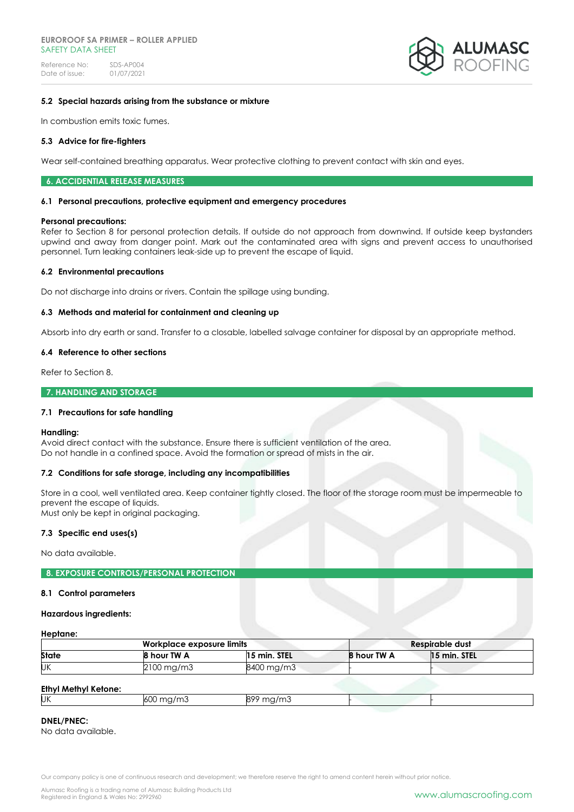### **EUROROOF SA PRIMER – ROLLER APPLIED** SAFFTY DATA SHFFT

Reference No: SDS-AP004<br>Date of issue: 01/07/2021 Date of issue:



# **5.2 Special hazards arising from the substance or mixture**

In combustion emits toxic fumes.

### **5.3 Advice for fire-fighters**

Wear self-contained breathing apparatus. Wear protective clothing to prevent contact with skin and eyes.

#### **6. ACCIDENTIAL RELEASE MEASURES**

#### **6.1 Personal precautions, protective equipment and emergency procedures**

#### **Personal precautions:**

Refer to Section 8 for personal protection details. If outside do not approach from downwind. If outside keep bystanders upwind and away from danger point. Mark out the contaminated area with signs and prevent access to unauthorised personnel. Turn leaking containers leak-side up to prevent the escape of liquid.

### **6.2 Environmental precautions**

Do not discharge into drains or rivers. Contain the spillage using bunding.

### **6.3 Methods and material for containment and cleaning up**

Absorb into dry earth or sand. Transfer to a closable, labelled salvage container for disposal by an appropriate method.

### **6.4 Reference to other sections**

Refer to Section 8.

### **7. HANDLING AND STORAGE**

## **7.1 Precautions for safe handling**

#### **Handling:**

Avoid direct contact with the substance. Ensure there is sufficient ventilation of the area. Do not handle in a confined space. Avoid the formation or spread of mists in the air.

# **7.2 Conditions for safe storage, including any incompatibilities**

Store in a cool, well ventilated area. Keep container tightly closed. The floor of the storage room must be impermeable to prevent the escape of liquids.

Must only be kept in original packaging.

# **7.3 Specific end uses(s)**

No data available.

## **8. EXPOSURE CONTROLS/PERSONAL PROTECTION**

#### **8.1 Control parameters**

#### **Hazardous ingredients:**

# **Heptane:**

| Workplace exposure limits |                         |              |             | Respirable dust |  |
|---------------------------|-------------------------|--------------|-------------|-----------------|--|
| <b>State</b>              | 8 hour TW A             | 15 min. STEL | 8 hour TW A | 15 min. STEL    |  |
| UK                        | $2100 \,\mathrm{mg/m3}$ | 8400 mg/m3   |             |                 |  |
|                           |                         |              |             |                 |  |

### **Ethyl Methyl Ketone:**

| - <i>,</i> <del>.</del> <i>,</i> |      |               |  |
|----------------------------------|------|---------------|--|
| UK                               | ו ור | $\sim$ $\sim$ |  |
|                                  |      |               |  |

# **DNEL/PNEC:**

No data available.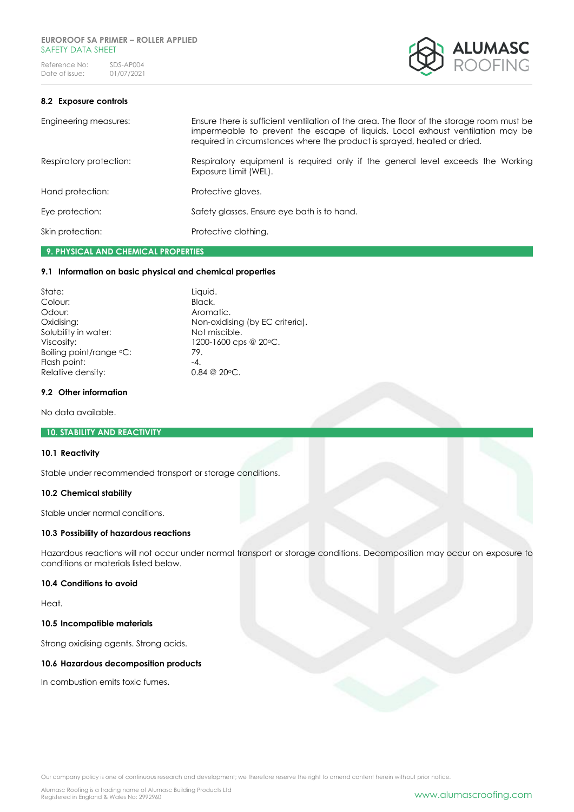Reference No: SDS-AP004<br>Date of issue: 01/07/2021 Date of issue:



# **8.2 Exposure controls**

Engineering measures: Ensure there is sufficient ventilation of the area. The floor of the storage room must be impermeable to prevent the escape of liquids. Local exhaust ventilation may be required in circumstances where the product is sprayed, heated or dried.

Respiratory protection: Respiratory equipment is required only if the general level exceeds the Working Exposure Limit (WEL). Hand protection: Protective gloves.

Eye protection: Safety glasses. Ensure eye bath is to hand.

Skin protection: Protective clothing.

# **9. PHYSICAL AND CHEMICAL PROPERTIES**

# **9.1 Information on basic physical and chemical properties**

| State:                  | Liquid.                         |
|-------------------------|---------------------------------|
| Colour:                 | Black.                          |
| Odour:                  | Aromatic.                       |
| Oxidising:              | Non-oxidising (by EC criteria). |
| Solubility in water:    | Not miscible.                   |
| Viscosity:              | 1200-1600 cps @ 20 °C.          |
| Boiling point/range °C: | 79.                             |
| Flash point:            | $-4.$                           |
| Relative density:       | $0.84 \ @ \ 20 \circ C.$        |

### **9.2 Other information**

No data available.

## **10. STABILITY AND REACTIVITY**

#### **10.1 Reactivity**

Stable under recommended transport or storage conditions.

## **10.2 Chemical stability**

Stable under normal conditions.

# **10.3 Possibility of hazardous reactions**

Hazardous reactions will not occur under normal transport or storage conditions. Decomposition may occur on exposure to conditions or materials listed below.

# **10.4 Conditions to avoid**

Heat.

### **10.5 Incompatible materials**

Strong oxidising agents. Strong acids.

## **10.6 Hazardous decomposition products**

In combustion emits toxic fumes.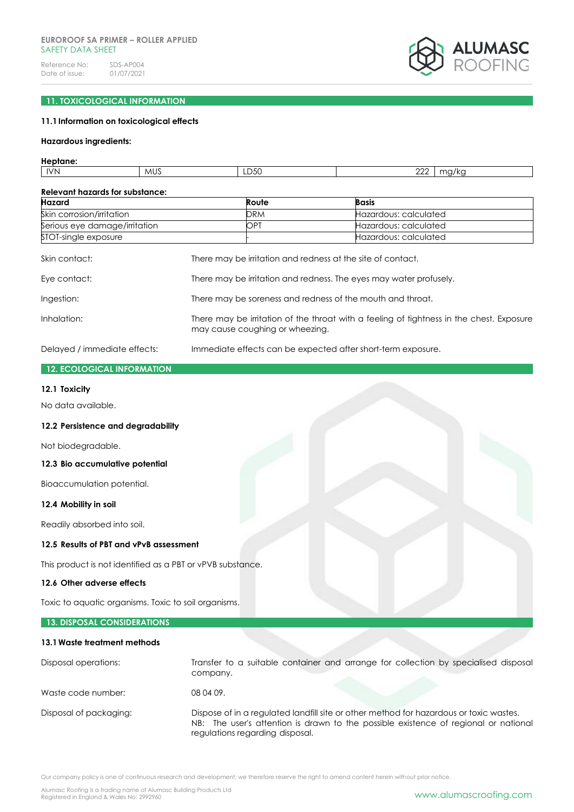## **EUROROOF SA PRIMER – ROLLER APPLIED** SAFFTY DATA SHFFT

Reference No: SDS-AP004<br>Date of issue: 01/07/2021 Date of issue:



# **11. TOXICOLOGICAL INFORMATION**

# **11.1Information on toxicological effects**

### **Hazardous ingredients:**

# **Heptane:**

|  | <b>IVN</b> | - MU. | LD50 | $\cap$<br>∸ | 1/K<br>٢١<br>. |
|--|------------|-------|------|-------------|----------------|
|--|------------|-------|------|-------------|----------------|

| <b>Relevant hazards for substance:</b> |                                                                                                                             |                                                                    |  |
|----------------------------------------|-----------------------------------------------------------------------------------------------------------------------------|--------------------------------------------------------------------|--|
| <b>Hazard</b>                          | Route                                                                                                                       | <b>Basis</b>                                                       |  |
| Skin corrosion/irritation              | <b>DRM</b>                                                                                                                  | Hazardous: calculated                                              |  |
| Serious eye damage/irritation          | OPT                                                                                                                         | Hazardous: calculated                                              |  |
| STOT-single exposure                   |                                                                                                                             | Hazardous: calculated                                              |  |
| Skin contact:                          | There may be irritation and redness at the site of contact.                                                                 |                                                                    |  |
| Eye contact:                           |                                                                                                                             | There may be irritation and redness. The eyes may water profusely. |  |
| Ingestion:                             |                                                                                                                             | There may be soreness and redness of the mouth and throat.         |  |
| Inhalation:                            | There may be irritation of the throat with a feeling of tightness in the chest. Exposure<br>may cause coughing or wheezing. |                                                                    |  |
| Delayed / immediate effects:           |                                                                                                                             | Immediate effects can be expected after short-term exposure.       |  |

# **12. ECOLOGICAL INFORMATION**

### **12.1 Toxicity**

No data available.

## **12.2 Persistence and degradability**

Not biodegradable.

## **12.3 Bio accumulative potential**

Bioaccumulation potential.

# **12.4 Mobility in soil**

Readily absorbed into soil.

### **12.5 Results of PBT and vPvB assessment**

This product is not identified as a PBT or vPVB substance.

# **12.6 Other adverse effects**

Toxic to aquatic organisms. Toxic to soil organisms.

# **13. DISPOSAL CONSIDERATIONS**

| 13.1 Waste treatment methods |                                                                                                                                                                                                                  |
|------------------------------|------------------------------------------------------------------------------------------------------------------------------------------------------------------------------------------------------------------|
| Disposal operations:         | Transfer to a suitable container and arrange for collection by specialised disposal<br>company.                                                                                                                  |
| Waste code number:           | 08 04 09.                                                                                                                                                                                                        |
| Disposal of packaging:       | Dispose of in a regulated landfill site or other method for hazardous or toxic wastes.<br>NB: The user's attention is drawn to the possible existence of regional or national<br>regulations regarding disposal. |

Our company policy is one of continuous research and development; we therefore reserve the right to amend content herein without prior notice.

Alumasc Roofing is a trading name of Alumasc Building Products Ltd